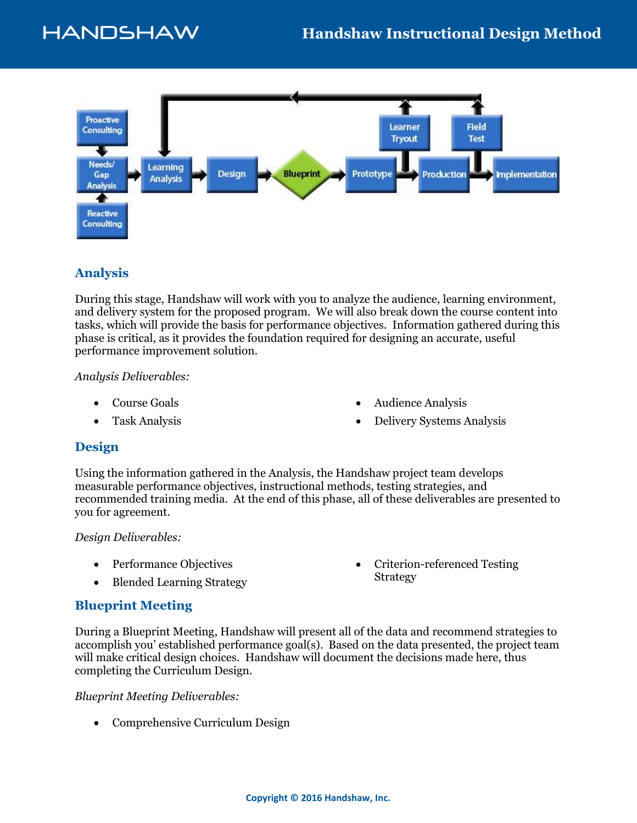

## **Analysis**

During this stage, Handshaw will work with you to analyze the audience, learning environment, and delivery system for the proposed program. We will also break down the course content into tasks, which will provide the basis for performance objectives. Information gathered during this phase is critical, as it provides the foundation required for designing an accurate, useful performance improvement solution.

*Analysis Deliverables:*

- Course Goals
- Task Analysis

Audience Analysis

Strategy

Delivery Systems Analysis

Criterion-referenced Testing

### **Design**

Using the information gathered in the Analysis, the Handshaw project team develops measurable performance objectives, instructional methods, testing strategies, and recommended training media. At the end of this phase, all of these deliverables are presented to you for agreement.

#### *Design Deliverables:*

- Performance Objectives
- Blended Learning Strategy

### **Blueprint Meeting**

During a Blueprint Meeting, Handshaw will present all of the data and recommend strategies to accomplish you' established performance goal(s). Based on the data presented, the project team will make critical design choices. Handshaw will document the decisions made here, thus completing the Curriculum Design.

*Blueprint Meeting Deliverables:*

• Comprehensive Curriculum Design